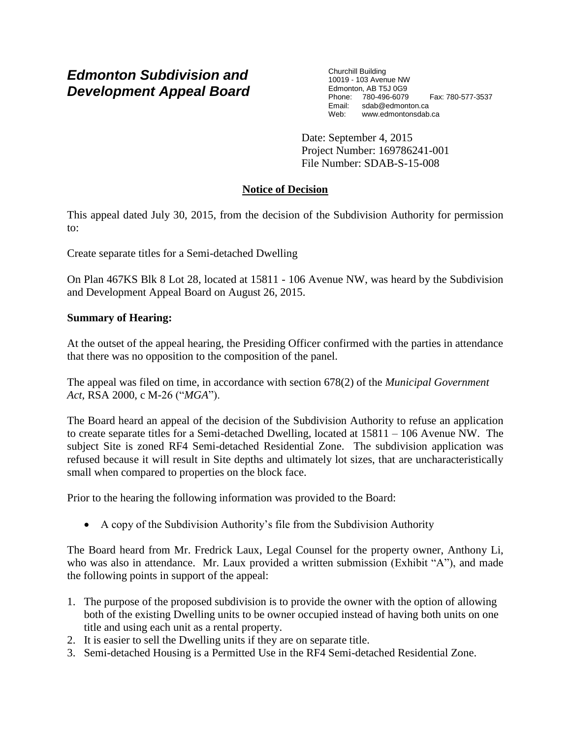# *Edmonton Subdivision and Development Appeal Board*

Churchill Building 10019 - 103 Avenue NW Edmonton, AB T5J 0G9 Phone: 780-496-6079 Fax: 780-577-3537 Email: sdab@edmonton.ca Web: www.edmontonsdab.ca

Date: September 4, 2015 Project Number: 169786241-001 File Number: SDAB-S-15-008

## **Notice of Decision**

This appeal dated July 30, 2015, from the decision of the Subdivision Authority for permission to:

Create separate titles for a Semi-detached Dwelling

On Plan 467KS Blk 8 Lot 28, located at 15811 - 106 Avenue NW, was heard by the Subdivision and Development Appeal Board on August 26, 2015.

### **Summary of Hearing:**

At the outset of the appeal hearing, the Presiding Officer confirmed with the parties in attendance that there was no opposition to the composition of the panel.

The appeal was filed on time, in accordance with section 678(2) of the *Municipal Government Act*, RSA 2000, c M-26 ("*MGA*").

The Board heard an appeal of the decision of the Subdivision Authority to refuse an application to create separate titles for a Semi-detached Dwelling, located at 15811 – 106 Avenue NW. The subject Site is zoned RF4 Semi-detached Residential Zone. The subdivision application was refused because it will result in Site depths and ultimately lot sizes, that are uncharacteristically small when compared to properties on the block face.

Prior to the hearing the following information was provided to the Board:

A copy of the Subdivision Authority's file from the Subdivision Authority

The Board heard from Mr. Fredrick Laux, Legal Counsel for the property owner, Anthony Li, who was also in attendance. Mr. Laux provided a written submission (Exhibit "A"), and made the following points in support of the appeal:

- 1. The purpose of the proposed subdivision is to provide the owner with the option of allowing both of the existing Dwelling units to be owner occupied instead of having both units on one title and using each unit as a rental property.
- 2. It is easier to sell the Dwelling units if they are on separate title.
- 3. Semi-detached Housing is a Permitted Use in the RF4 Semi-detached Residential Zone.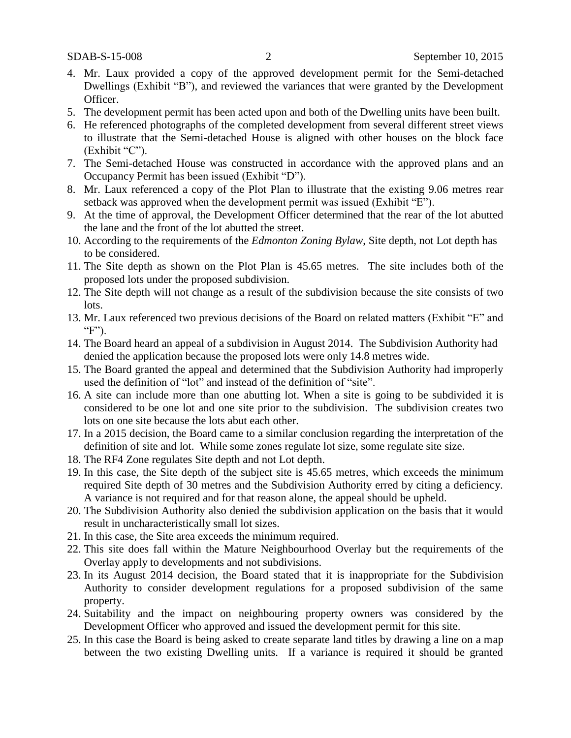- 4. Mr. Laux provided a copy of the approved development permit for the Semi-detached Dwellings (Exhibit "B"), and reviewed the variances that were granted by the Development Officer.
- 5. The development permit has been acted upon and both of the Dwelling units have been built.
- 6. He referenced photographs of the completed development from several different street views to illustrate that the Semi-detached House is aligned with other houses on the block face (Exhibit "C").
- 7. The Semi-detached House was constructed in accordance with the approved plans and an Occupancy Permit has been issued (Exhibit "D").
- 8. Mr. Laux referenced a copy of the Plot Plan to illustrate that the existing 9.06 metres rear setback was approved when the development permit was issued (Exhibit "E").
- 9. At the time of approval, the Development Officer determined that the rear of the lot abutted the lane and the front of the lot abutted the street.
- 10. According to the requirements of the *Edmonton Zoning Bylaw*, Site depth, not Lot depth has to be considered.
- 11. The Site depth as shown on the Plot Plan is 45.65 metres. The site includes both of the proposed lots under the proposed subdivision.
- 12. The Site depth will not change as a result of the subdivision because the site consists of two lots.
- 13. Mr. Laux referenced two previous decisions of the Board on related matters (Exhibit "E" and "F").
- 14. The Board heard an appeal of a subdivision in August 2014. The Subdivision Authority had denied the application because the proposed lots were only 14.8 metres wide.
- 15. The Board granted the appeal and determined that the Subdivision Authority had improperly used the definition of "lot" and instead of the definition of "site".
- 16. A site can include more than one abutting lot. When a site is going to be subdivided it is considered to be one lot and one site prior to the subdivision. The subdivision creates two lots on one site because the lots abut each other.
- 17. In a 2015 decision, the Board came to a similar conclusion regarding the interpretation of the definition of site and lot. While some zones regulate lot size, some regulate site size.
- 18. The RF4 Zone regulates Site depth and not Lot depth.
- 19. In this case, the Site depth of the subject site is 45.65 metres, which exceeds the minimum required Site depth of 30 metres and the Subdivision Authority erred by citing a deficiency. A variance is not required and for that reason alone, the appeal should be upheld.
- 20. The Subdivision Authority also denied the subdivision application on the basis that it would result in uncharacteristically small lot sizes.
- 21. In this case, the Site area exceeds the minimum required.
- 22. This site does fall within the Mature Neighbourhood Overlay but the requirements of the Overlay apply to developments and not subdivisions.
- 23. In its August 2014 decision, the Board stated that it is inappropriate for the Subdivision Authority to consider development regulations for a proposed subdivision of the same property.
- 24. Suitability and the impact on neighbouring property owners was considered by the Development Officer who approved and issued the development permit for this site.
- 25. In this case the Board is being asked to create separate land titles by drawing a line on a map between the two existing Dwelling units. If a variance is required it should be granted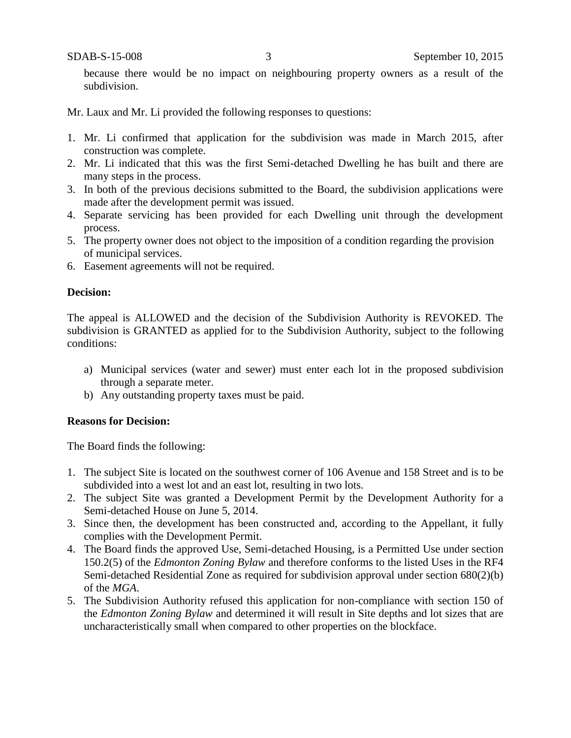because there would be no impact on neighbouring property owners as a result of the subdivision.

Mr. Laux and Mr. Li provided the following responses to questions:

- 1. Mr. Li confirmed that application for the subdivision was made in March 2015, after construction was complete.
- 2. Mr. Li indicated that this was the first Semi-detached Dwelling he has built and there are many steps in the process.
- 3. In both of the previous decisions submitted to the Board, the subdivision applications were made after the development permit was issued.
- 4. Separate servicing has been provided for each Dwelling unit through the development process.
- 5. The property owner does not object to the imposition of a condition regarding the provision of municipal services.
- 6. Easement agreements will not be required.

#### **Decision:**

The appeal is ALLOWED and the decision of the Subdivision Authority is REVOKED. The subdivision is GRANTED as applied for to the Subdivision Authority, subject to the following conditions:

- a) Municipal services (water and sewer) must enter each lot in the proposed subdivision through a separate meter.
- b) Any outstanding property taxes must be paid.

#### **Reasons for Decision:**

The Board finds the following:

- 1. The subject Site is located on the southwest corner of 106 Avenue and 158 Street and is to be subdivided into a west lot and an east lot, resulting in two lots.
- 2. The subject Site was granted a Development Permit by the Development Authority for a Semi-detached House on June 5, 2014.
- 3. Since then, the development has been constructed and, according to the Appellant, it fully complies with the Development Permit.
- 4. The Board finds the approved Use, Semi-detached Housing, is a Permitted Use under section 150.2(5) of the *Edmonton Zoning Bylaw* and therefore conforms to the listed Uses in the RF4 Semi-detached Residential Zone as required for subdivision approval under section 680(2)(b) of the *MGA*.
- 5. The Subdivision Authority refused this application for non-compliance with section 150 of the *Edmonton Zoning Bylaw* and determined it will result in Site depths and lot sizes that are uncharacteristically small when compared to other properties on the blockface.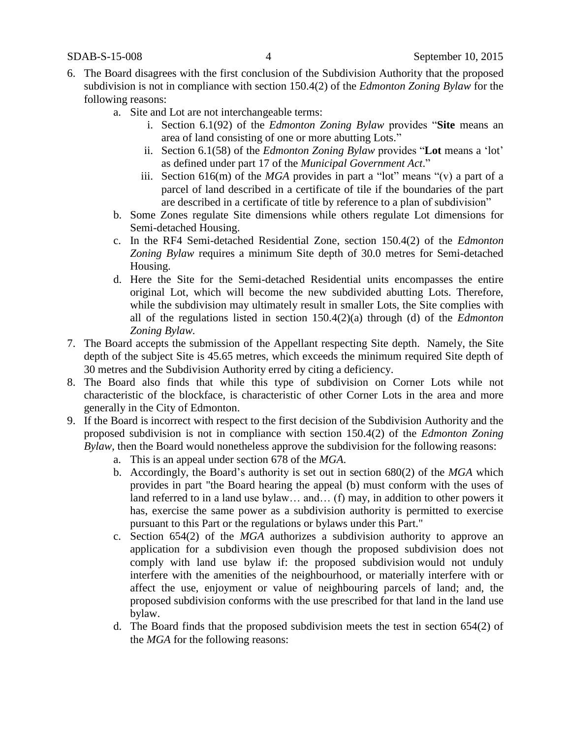- 6. The Board disagrees with the first conclusion of the Subdivision Authority that the proposed subdivision is not in compliance with section 150.4(2) of the *Edmonton Zoning Bylaw* for the following reasons:
	- a. Site and Lot are not interchangeable terms:
		- i. Section 6.1(92) of the *Edmonton Zoning Bylaw* provides "**Site** means an area of land consisting of one or more abutting Lots."
		- ii. Section 6.1(58) of the *Edmonton Zoning Bylaw* provides "**Lot** means a 'lot' as defined under part 17 of the *Municipal Government Act*."
		- iii. Section 616(m) of the *MGA* provides in part a "lot" means "(v) a part of a parcel of land described in a certificate of tile if the boundaries of the part are described in a certificate of title by reference to a plan of subdivision"
	- b. Some Zones regulate Site dimensions while others regulate Lot dimensions for Semi-detached Housing.
	- c. In the RF4 Semi-detached Residential Zone, section 150.4(2) of the *Edmonton Zoning Bylaw* requires a minimum Site depth of 30.0 metres for Semi-detached Housing.
	- d. Here the Site for the Semi-detached Residential units encompasses the entire original Lot, which will become the new subdivided abutting Lots. Therefore, while the subdivision may ultimately result in smaller Lots, the Site complies with all of the regulations listed in section 150.4(2)(a) through (d) of the *Edmonton Zoning Bylaw.*
- 7. The Board accepts the submission of the Appellant respecting Site depth. Namely, the Site depth of the subject Site is 45.65 metres, which exceeds the minimum required Site depth of 30 metres and the Subdivision Authority erred by citing a deficiency.
- 8. The Board also finds that while this type of subdivision on Corner Lots while not characteristic of the blockface, is characteristic of other Corner Lots in the area and more generally in the City of Edmonton.
- 9. If the Board is incorrect with respect to the first decision of the Subdivision Authority and the proposed subdivision is not in compliance with section 150.4(2) of the *Edmonton Zoning Bylaw*, then the Board would nonetheless approve the subdivision for the following reasons:
	- a. This is an appeal under section 678 of the *MGA*.
	- b. Accordingly, the Board's authority is set out in section 680(2) of the *MGA* which provides in part "the Board hearing the appeal (b) must conform with the uses of land referred to in a land use bylaw… and… (f) may, in addition to other powers it has, exercise the same power as a subdivision authority is permitted to exercise pursuant to this Part or the regulations or bylaws under this Part."
	- c. Section 654(2) of the *MGA* authorizes a subdivision authority to approve an application for a subdivision even though the proposed subdivision does not comply with land use bylaw if: the proposed subdivision would not unduly interfere with the amenities of the neighbourhood, or materially interfere with or affect the use, enjoyment or value of neighbouring parcels of land; and, the proposed subdivision conforms with the use prescribed for that land in the land use bylaw.
	- d. The Board finds that the proposed subdivision meets the test in section 654(2) of the *MGA* for the following reasons: